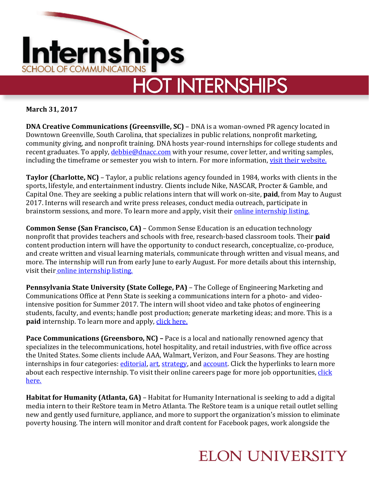

**March 31, 2017** 

**DNA Creative Communications (Greensville, SC)** – DNA is a woman-owned PR agency located in Downtown Greenville, South Carolina, that specializes in public relations, nonprofit marketing, community giving, and nonprofit training. DNA hosts year-round internships for college students and recent graduates. To apply, *debbie@dnacc.com* with your resume, cover letter, and writing samples, including the timeframe or semester you wish to intern. For more information[, visit their website.](http://www.dnacc.com/internships/)

**Taylor (Charlotte, NC)** – Taylor, a public relations agency founded in 1984, works with clients in the sports, lifestyle, and entertainment industry. Clients include Nike, NASCAR, Procter & Gamble, and Capital One. They are seeking a public relations intern that will work on-site, **paid**, from May to August 2017. Interns will research and write press releases, conduct media outreach, participate in brainstorm sessions, and more. To learn more and apply, visit their **online internship listing**.

**Common Sense (San Francisco, CA)** – Common Sense Education is an education technology nonprofit that provides teachers and schools with free, research-based classroom tools. Their **paid** content production intern will have the opportunity to conduct research, conceptualize, co-produce, and create written and visual learning materials, communicate through written and visual means, and more. The internship will run from early June to early August. For more details about this internship, visit their [online internship listing.](http://jobs.omidyar.com/jobdetail.php?jobid=670274)

**Pennsylvania State University (State College, PA)** – The College of Engineering Marketing and Communications Office at Penn State is seeking a communications intern for a photo- and videointensive position for Summer 2017. The intern will shoot video and take photos of engineering students, faculty, and events; handle post production; generate marketing ideas; and more. This is a **paid** internship. To learn more and apply, [click here.](https://psu.jobs/job/69285)

**Pace Communications (Greensboro, NC) –** Pace is a local and nationally renowned agency that specializes in the telecommunications, hotel hospitality, and retail industries, with five office across the United States. Some clients include AAA, Walmart, Verizon, and Four Seasons. They are hosting internships in four categories: [editorial,](http://www.paceco.com/careers/editorial-interns-2017-greensboro-nc/) [art,](http://www.paceco.com/careers/art-interns-2017-greensboro-nc/) [strategy,](http://www.paceco.com/careers/strategy-interns-2017/) and [account.](http://www.paceco.com/careers/account-interns-2017/) Click the hyperlinks to learn more about each respective internship. To visit their online careers page for more job opportunities, click [here.](http://www.paceco.com/careers/) 

**Habitat for Humanity (Atlanta, GA)** – Habitat for Humanity International is seeking to add a digital media intern to their ReStore team in Metro Atlanta. The ReStore team is a unique retail outlet selling new and gently used furniture, appliance, and more to support the organization's mission to eliminate poverty housing. The intern will monitor and draft content for Facebook pages, work alongside the

## **ELON UNIVERSITY**